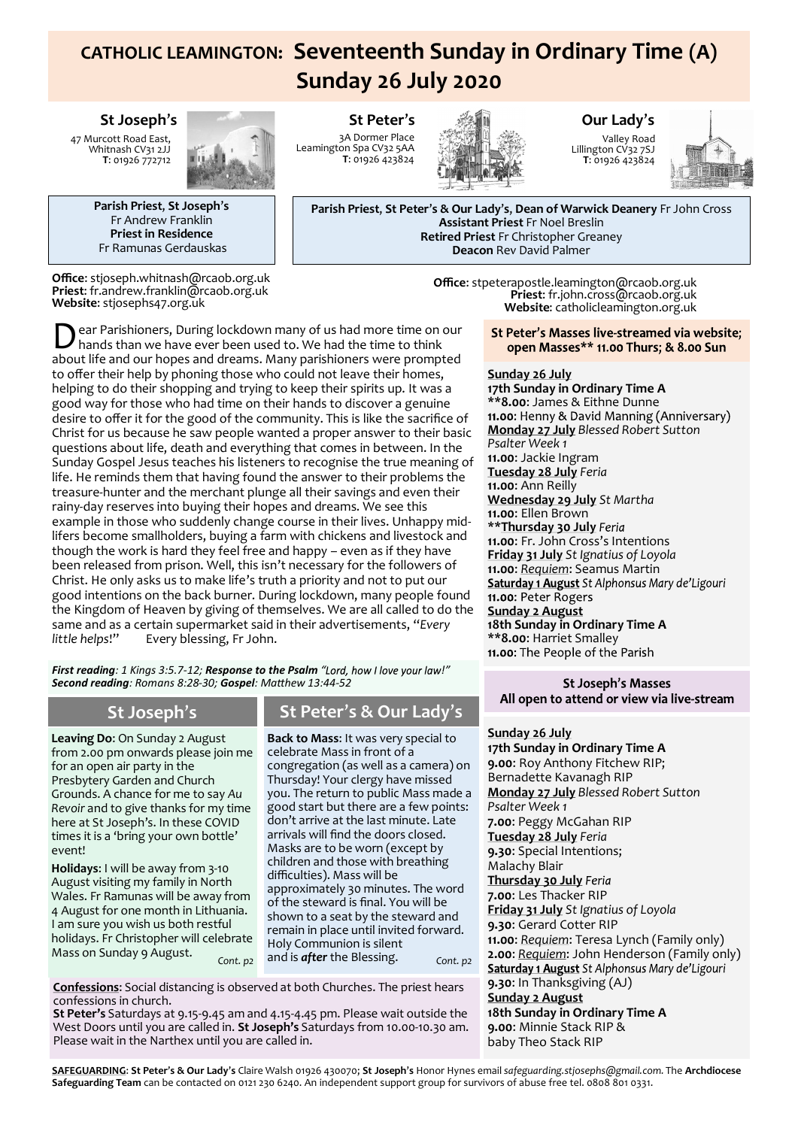# **CATHOLIC LEAMINGTON: Seventeenth Sunday in Ordinary Time (A) Sunday 26 July 2020**

### **St Joseph**'**s**

47 Murcott Road East, Whitnash CV31 2JJ **T**: 01926 772712



**Parish Priest**, **St Joseph**'**s** Fr Andrew Franklin **Priest in Residence** Fr Ramunas Gerdauskas

**Office**: stjoseph.whitnash@rcaob.org.uk **Priest**: fr.andrew.franklin@rcaob.org.uk **Website**: stjosephs47.org.uk

**St Peter**'**s** 3A Dormer Place Leamington Spa CV32 5AA **T**: 01926 423824



### **Our Lady**'**s**

Valley Road Lillington CV32 7SJ **T**: 01926 423824



**Parish Priest**, **St Peter**'**s & Our Lady**'**s**, **Dean of Warwick Deanery** Fr John Cross **Assistant Priest** Fr Noel Breslin **Retired Priest** Fr Christopher Greaney **Deacon** Rev David Palmer

> **Office**: stpeterapostle.leamington@rcaob.org.uk **Priest**: fr.john.cross@rcaob.org.uk **Website**: catholicleamington.org.uk

Dear Parishioners, During lockdown many of us had more time on our hands than we have ever been used to. We had the time to think about life and our hopes and dreams. Many parishioners were prompted ear Parishioners, During lockdown many of us had more time on our hands than we have ever been used to. We had the time to think to offer their help by phoning those who could not leave their homes, helping to do their shopping and trying to keep their spirits up. It was a good way for those who had time on their hands to discover a genuine desire to offer it for the good of the community. This is like the sacrifice of Christ for us because he saw people wanted a proper answer to their basic questions about life, death and everything that comes in between. In the Sunday Gospel Jesus teaches his listeners to recognise the true meaning of life. He reminds them that having found the answer to their problems the treasure-hunter and the merchant plunge all their savings and even their rainy-day reserves into buying their hopes and dreams. We see this example in those who suddenly change course in their lives. Unhappy midlifers become smallholders, buying a farm with chickens and livestock and though the work is hard they feel free and happy – even as if they have been released from prison. Well, this isn't necessary for the followers of Christ. He only asks us to make life's truth a priority and not to put our good intentions on the back burner. During lockdown, many people found the Kingdom of Heaven by giving of themselves. We are all called to do the same and as a certain supermarket said in their advertisements, "*Every Every blessing, Fr John.* 

*First reading*: 1 Kings 3:5.7-12; Response to the Psalm "Lord, how I love your law!" *Second reading: Romans 8:28-30; Gospel: Matthew 13:44-52*

**Leaving Do**: On Sunday 2 August from 2.00 pm onwards please join me for an open air party in the Presbytery Garden and Church Grounds. A chance for me to say *Au Revoir* and to give thanks for my time here at St Joseph's. In these COVID times it is a 'bring your own bottle' event!

**Holidays**: I will be away from 3-10 August visiting my family in North Wales. Fr Ramunas will be away from 4 August for one month in Lithuania. I am sure you wish us both restful holidays. Fr Christopher will celebrate Mass on Sunday 9 August.

## **St Joseph**'**s St Peter**'**s & Our Lady**'**s**

**Back to Mass**: It was very special to celebrate Mass in front of a congregation (as well as a camera) on Thursday! Your clergy have missed you. The return to public Mass made a good start but there are a few points: don't arrive at the last minute. Late arrivals will find the doors closed. Masks are to be worn (except by children and those with breathing difficulties). Mass will be approximately 30 minutes. The word of the steward is final. You will be shown to a seat by the steward and remain in place until invited forward. Holy Communion is silent and is *after* the Blessing. *Cont. p2 Cont. p2*

**Confessions**: Social distancing is observed at both Churches. The priest hears confessions in church.

**St Peter's** Saturdays at 9.15-9.45 am and 4.15-4.45 pm. Please wait outside the West Doors until you are called in. **St Joseph's** Saturdays from 10.00-10.30 am. Please wait in the Narthex until you are called in.

St Peter's Masses live-streamed via website; open Masses\*\* 11.00 Thurs; & 8.00 Sun

#### **Sunday 26 July**

**17th Sunday in Ordinary Time A \*\*8.00**: James & Eithne Dunne **Monday 27 July** *Blessed Robert Sutton Psalter Week 1* **11.00**: Jackie Ingram **Tuesday 28 July** *Feria* **11.00**: Ann Reilly **Wednesday 29 July** *St Martha* **11.00**: Ellen Brown **\*\*Thursday 30 July 11.00**: Fr. John Cross's Intentions **Friday 31 July** *St Ignatius of Loyola* **11.00**: *Requiem*: Seamus Martin 11.00: Peter Rogers **Sunday 2 August 18th Sunday in Ordinary Time A \*\*8.00**: Harriet Smalley

#### **St Joseph's Masses** All open to attend or view via live-stream

### **Sunday 26 July**

**17th Sunday in Ordinary Time A 9.00**: Roy Anthony Fitchew RIP; Bernadette Kavanagh RIP **Monday 27 July** *Blessed Robert Sutton Psalter Week 1* **7.00**: Peggy McGahan RIP **Tuesday 28 July** *Feria* **9.30**: Special Intentions; Malachy Blair **Thursday 30 July 7.00**: Les Thacker RIP **Friday 31 July** *St Ignatius of Loyola* **9.30**: Gerard Cotter RIP **11.00**: *Requiem*: Teresa Lynch (Family only) **2.00**: *Requiem*: John Henderson (Family only) **9.30**: In Thanksgiving (AJ) **Sunday 2 August 18th Sunday in Ordinary Time A 9.00**: Minnie Stack RIP & baby Theo Stack RIP

**SAFEGUARDING**: **St Peter**'**s & Our Lady**'**s** Claire Walsh 01926 430070; **St Joseph**'**s** Honor Hynes email *safeguarding.stjosephs@gmail.com.* The **Archdiocese Safeguarding Team** can be contacted on 0121 230 6240. An independent support group for survivors of abuse free tel. 0808 801 0331.